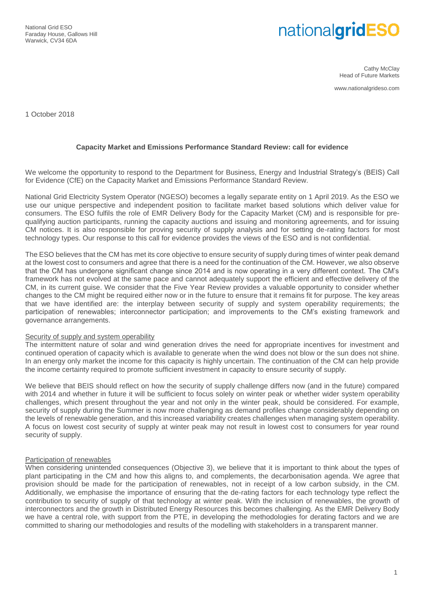National Grid ESO Faraday House, Gallows Hill Warwick, CV34 6DA

# nationalgridESO

Cathy McClay Head of Future Markets

www.nationalgrideso.com

1 October 2018

## **Capacity Market and Emissions Performance Standard Review: call for evidence**

We welcome the opportunity to respond to the Department for Business, Energy and Industrial Strategy's (BEIS) Call for Evidence (CfE) on the Capacity Market and Emissions Performance Standard Review.

National Grid Electricity System Operator (NGESO) becomes a legally separate entity on 1 April 2019. As the ESO we use our unique perspective and independent position to facilitate market based solutions which deliver value for consumers. The ESO fulfils the role of EMR Delivery Body for the Capacity Market (CM) and is responsible for prequalifying auction participants, running the capacity auctions and issuing and monitoring agreements, and for issuing CM notices. It is also responsible for proving security of supply analysis and for setting de-rating factors for most technology types. Our response to this call for evidence provides the views of the ESO and is not confidential.

The ESO believes that the CM has met its core objective to ensure security of supply during times of winter peak demand at the lowest cost to consumers and agree that there is a need for the continuation of the CM. However, we also observe that the CM has undergone significant change since 2014 and is now operating in a very different context. The CM's framework has not evolved at the same pace and cannot adequately support the efficient and effective delivery of the CM, in its current guise. We consider that the Five Year Review provides a valuable opportunity to consider whether changes to the CM might be required either now or in the future to ensure that it remains fit for purpose. The key areas that we have identified are: the interplay between security of supply and system operability requirements; the participation of renewables; interconnector participation; and improvements to the CM's existing framework and governance arrangements.

#### Security of supply and system operability

The intermittent nature of solar and wind generation drives the need for appropriate incentives for investment and continued operation of capacity which is available to generate when the wind does not blow or the sun does not shine. In an energy only market the income for this capacity is highly uncertain. The continuation of the CM can help provide the income certainty required to promote sufficient investment in capacity to ensure security of supply.

We believe that BEIS should reflect on how the security of supply challenge differs now (and in the future) compared with 2014 and whether in future it will be sufficient to focus solely on winter peak or whether wider system operability challenges, which present throughout the year and not only in the winter peak, should be considered. For example, security of supply during the Summer is now more challenging as demand profiles change considerably depending on the levels of renewable generation, and this increased variability creates challenges when managing system operability. A focus on lowest cost security of supply at winter peak may not result in lowest cost to consumers for year round security of supply.

#### Participation of renewables

When considering unintended consequences (Objective 3), we believe that it is important to think about the types of plant participating in the CM and how this aligns to, and complements, the decarbonisation agenda. We agree that provision should be made for the participation of renewables, not in receipt of a low carbon subsidy, in the CM. Additionally, we emphasise the importance of ensuring that the de-rating factors for each technology type reflect the contribution to security of supply of that technology at winter peak. With the inclusion of renewables, the growth of interconnectors and the growth in Distributed Energy Resources this becomes challenging. As the EMR Delivery Body we have a central role, with support from the PTE, in developing the methodologies for derating factors and we are committed to sharing our methodologies and results of the modelling with stakeholders in a transparent manner.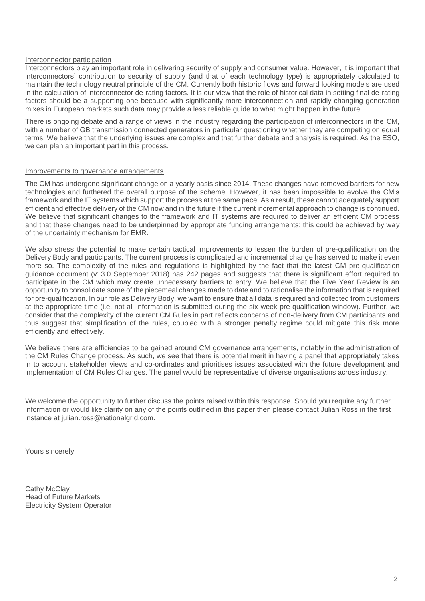#### Interconnector participation

Interconnectors play an important role in delivering security of supply and consumer value. However, it is important that interconnectors' contribution to security of supply (and that of each technology type) is appropriately calculated to maintain the technology neutral principle of the CM. Currently both historic flows and forward looking models are used in the calculation of interconnector de-rating factors. It is our view that the role of historical data in setting final de-rating factors should be a supporting one because with significantly more interconnection and rapidly changing generation mixes in European markets such data may provide a less reliable guide to what might happen in the future.

There is ongoing debate and a range of views in the industry regarding the participation of interconnectors in the CM, with a number of GB transmission connected generators in particular questioning whether they are competing on equal terms. We believe that the underlying issues are complex and that further debate and analysis is required. As the ESO, we can plan an important part in this process.

#### Improvements to governance arrangements

The CM has undergone significant change on a yearly basis since 2014. These changes have removed barriers for new technologies and furthered the overall purpose of the scheme. However, it has been impossible to evolve the CM's framework and the IT systems which support the process at the same pace. As a result, these cannot adequately support efficient and effective delivery of the CM now and in the future if the current incremental approach to change is continued. We believe that significant changes to the framework and IT systems are required to deliver an efficient CM process and that these changes need to be underpinned by appropriate funding arrangements; this could be achieved by way of the uncertainty mechanism for EMR.

We also stress the potential to make certain tactical improvements to lessen the burden of pre-qualification on the Delivery Body and participants. The current process is complicated and incremental change has served to make it even more so. The complexity of the rules and regulations is highlighted by the fact that the latest CM pre-qualification guidance document (v13.0 September 2018) has 242 pages and suggests that there is significant effort required to participate in the CM which may create unnecessary barriers to entry. We believe that the Five Year Review is an opportunity to consolidate some of the piecemeal changes made to date and to rationalise the information that is required for pre-qualification. In our role as Delivery Body, we want to ensure that all data is required and collected from customers at the appropriate time (i.e. not all information is submitted during the six-week pre-qualification window). Further, we consider that the complexity of the current CM Rules in part reflects concerns of non-delivery from CM participants and thus suggest that simplification of the rules, coupled with a stronger penalty regime could mitigate this risk more efficiently and effectively.

We believe there are efficiencies to be gained around CM governance arrangements, notably in the administration of the CM Rules Change process. As such, we see that there is potential merit in having a panel that appropriately takes in to account stakeholder views and co-ordinates and prioritises issues associated with the future development and implementation of CM Rules Changes. The panel would be representative of diverse organisations across industry.

We welcome the opportunity to further discuss the points raised within this response. Should you require any further information or would like clarity on any of the points outlined in this paper then please contact Julian Ross in the first instance at julian.ross@nationalgrid.com.

Yours sincerely

Cathy McClay Head of Future Markets Electricity System Operator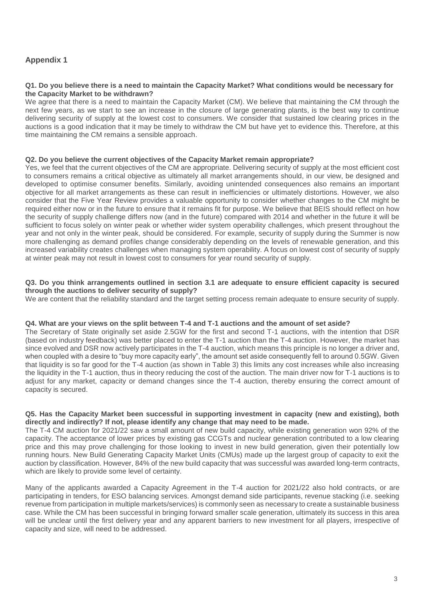## **Appendix 1**

#### **Q1. Do you believe there is a need to maintain the Capacity Market? What conditions would be necessary for the Capacity Market to be withdrawn?**

We agree that there is a need to maintain the Capacity Market (CM). We believe that maintaining the CM through the next few years, as we start to see an increase in the closure of large generating plants, is the best way to continue delivering security of supply at the lowest cost to consumers. We consider that sustained low clearing prices in the auctions is a good indication that it may be timely to withdraw the CM but have yet to evidence this. Therefore, at this time maintaining the CM remains a sensible approach.

## **Q2. Do you believe the current objectives of the Capacity Market remain appropriate?**

Yes, we feel that the current objectives of the CM are appropriate. Delivering security of supply at the most efficient cost to consumers remains a critical objective as ultimately all market arrangements should, in our view, be designed and developed to optimise consumer benefits. Similarly, avoiding unintended consequences also remains an important objective for all market arrangements as these can result in inefficiencies or ultimately distortions. However, we also consider that the Five Year Review provides a valuable opportunity to consider whether changes to the CM might be required either now or in the future to ensure that it remains fit for purpose. We believe that BEIS should reflect on how the security of supply challenge differs now (and in the future) compared with 2014 and whether in the future it will be sufficient to focus solely on winter peak or whether wider system operability challenges, which present throughout the year and not only in the winter peak, should be considered. For example, security of supply during the Summer is now more challenging as demand profiles change considerably depending on the levels of renewable generation, and this increased variability creates challenges when managing system operability. A focus on lowest cost of security of supply at winter peak may not result in lowest cost to consumers for year round security of supply.

## **Q3. Do you think arrangements outlined in section 3.1 are adequate to ensure efficient capacity is secured through the auctions to deliver security of supply?**

We are content that the reliability standard and the target setting process remain adequate to ensure security of supply.

#### **Q4. What are your views on the split between T-4 and T-1 auctions and the amount of set aside?**

The Secretary of State originally set aside 2.5GW for the first and second T-1 auctions, with the intention that DSR (based on industry feedback) was better placed to enter the T-1 auction than the T-4 auction. However, the market has since evolved and DSR now actively participates in the T-4 auction, which means this principle is no longer a driver and, when coupled with a desire to "buy more capacity early", the amount set aside consequently fell to around 0.5GW. Given that liquidity is so far good for the T-4 auction (as shown in Table 3) this limits any cost increases while also increasing the liquidity in the T-1 auction, thus in theory reducing the cost of the auction. The main driver now for T-1 auctions is to adjust for any market, capacity or demand changes since the T-4 auction, thereby ensuring the correct amount of capacity is secured.

#### **Q5. Has the Capacity Market been successful in supporting investment in capacity (new and existing), both directly and indirectly? If not, please identify any change that may need to be made.**

The T-4 CM auction for 2021/22 saw a small amount of new build capacity, while existing generation won 92% of the capacity. The acceptance of lower prices by existing gas CCGTs and nuclear generation contributed to a low clearing price and this may prove challenging for those looking to invest in new build generation, given their potentially low running hours. New Build Generating Capacity Market Units (CMUs) made up the largest group of capacity to exit the auction by classification. However, 84% of the new build capacity that was successful was awarded long-term contracts, which are likely to provide some level of certainty.

Many of the applicants awarded a Capacity Agreement in the T-4 auction for 2021/22 also hold contracts, or are participating in tenders, for ESO balancing services. Amongst demand side participants, revenue stacking (i.e. seeking revenue from participation in multiple markets/services) is commonly seen as necessary to create a sustainable business case. While the CM has been successful in bringing forward smaller scale generation, ultimately its success in this area will be unclear until the first delivery year and any apparent barriers to new investment for all players, irrespective of capacity and size, will need to be addressed.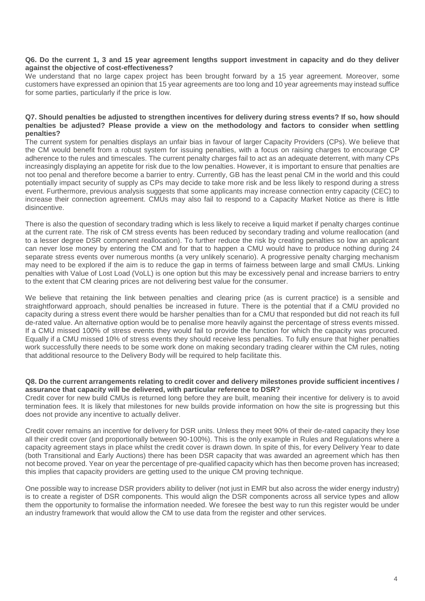#### **Q6. Do the current 1, 3 and 15 year agreement lengths support investment in capacity and do they deliver against the objective of cost-effectiveness?**

We understand that no large capex project has been brought forward by a 15 year agreement. Moreover, some customers have expressed an opinion that 15 year agreements are too long and 10 year agreements may instead suffice for some parties, particularly if the price is low.

#### **Q7. Should penalties be adjusted to strengthen incentives for delivery during stress events? If so, how should penalties be adjusted? Please provide a view on the methodology and factors to consider when settling penalties?**

The current system for penalties displays an unfair bias in favour of larger Capacity Providers (CPs). We believe that the CM would benefit from a robust system for issuing penalties, with a focus on raising charges to encourage CP adherence to the rules and timescales. The current penalty charges fail to act as an adequate deterrent, with many CPs increasingly displaying an appetite for risk due to the low penalties. However, it is important to ensure that penalties are not too penal and therefore become a barrier to entry. Currently, GB has the least penal CM in the world and this could potentially impact security of supply as CPs may decide to take more risk and be less likely to respond during a stress event. Furthermore, previous analysis suggests that some applicants may increase connection entry capacity (CEC) to increase their connection agreement. CMUs may also fail to respond to a Capacity Market Notice as there is little disincentive.

There is also the question of secondary trading which is less likely to receive a liquid market if penalty charges continue at the current rate. The risk of CM stress events has been reduced by secondary trading and volume reallocation (and to a lesser degree DSR component reallocation). To further reduce the risk by creating penalties so low an applicant can never lose money by entering the CM and for that to happen a CMU would have to produce nothing during 24 separate stress events over numerous months (a very unlikely scenario). A progressive penalty charging mechanism may need to be explored if the aim is to reduce the gap in terms of fairness between large and small CMUs. Linking penalties with Value of Lost Load (VoLL) is one option but this may be excessively penal and increase barriers to entry to the extent that CM clearing prices are not delivering best value for the consumer.

We believe that retaining the link between penalties and clearing price (as is current practice) is a sensible and straightforward approach, should penalties be increased in future. There is the potential that if a CMU provided no capacity during a stress event there would be harsher penalties than for a CMU that responded but did not reach its full de-rated value. An alternative option would be to penalise more heavily against the percentage of stress events missed. If a CMU missed 100% of stress events they would fail to provide the function for which the capacity was procured. Equally if a CMU missed 10% of stress events they should receive less penalties. To fully ensure that higher penalties work successfully there needs to be some work done on making secondary trading clearer within the CM rules, noting that additional resource to the Delivery Body will be required to help facilitate this.

## **Q8. Do the current arrangements relating to credit cover and delivery milestones provide sufficient incentives / assurance that capacity will be delivered, with particular reference to DSR?**

Credit cover for new build CMUs is returned long before they are built, meaning their incentive for delivery is to avoid termination fees. It is likely that milestones for new builds provide information on how the site is progressing but this does not provide any incentive to actually deliver.

Credit cover remains an incentive for delivery for DSR units. Unless they meet 90% of their de-rated capacity they lose all their credit cover (and proportionally between 90-100%). This is the only example in Rules and Regulations where a capacity agreement stays in place whilst the credit cover is drawn down. In spite of this, for every Delivery Year to date (both Transitional and Early Auctions) there has been DSR capacity that was awarded an agreement which has then not become proved. Year on year the percentage of pre-qualified capacity which has then become proven has increased; this implies that capacity providers are getting used to the unique CM proving technique.

One possible way to increase DSR providers ability to deliver (not just in EMR but also across the wider energy industry) is to create a register of DSR components. This would align the DSR components across all service types and allow them the opportunity to formalise the information needed. We foresee the best way to run this register would be under an industry framework that would allow the CM to use data from the register and other services.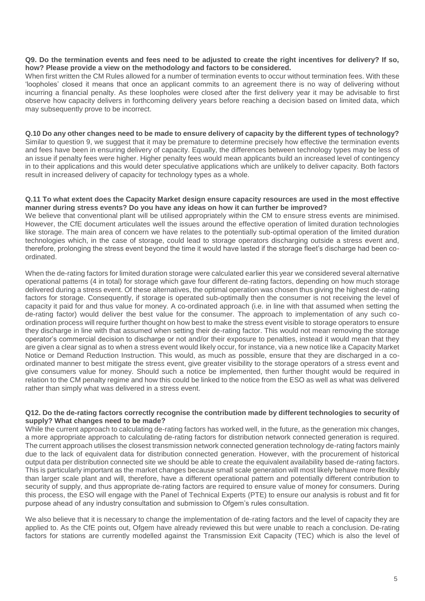#### **Q9. Do the termination events and fees need to be adjusted to create the right incentives for delivery? If so, how? Please provide a view on the methodology and factors to be considered.**

When first written the CM Rules allowed for a number of termination events to occur without termination fees. With these 'loopholes' closed it means that once an applicant commits to an agreement there is no way of delivering without incurring a financial penalty. As these loopholes were closed after the first delivery year it may be advisable to first observe how capacity delivers in forthcoming delivery years before reaching a decision based on limited data, which may subsequently prove to be incorrect.

#### **Q.10 Do any other changes need to be made to ensure delivery of capacity by the different types of technology?** Similar to question 9, we suggest that it may be premature to determine precisely how effective the termination events and fees have been in ensuring delivery of capacity. Equally, the differences between technology types may be less of an issue if penalty fees were higher. Higher penalty fees would mean applicants build an increased level of contingency in to their applications and this would deter speculative applications which are unlikely to deliver capacity. Both factors result in increased delivery of capacity for technology types as a whole.

#### **Q.11 To what extent does the Capacity Market design ensure capacity resources are used in the most effective manner during stress events? Do you have any ideas on how it can further be improved?**

We believe that conventional plant will be utilised appropriately within the CM to ensure stress events are minimised. However, the CfE document articulates well the issues around the effective operation of limited duration technologies like storage. The main area of concern we have relates to the potentially sub-optimal operation of the limited duration technologies which, in the case of storage, could lead to storage operators discharging outside a stress event and, therefore, prolonging the stress event beyond the time it would have lasted if the storage fleet's discharge had been coordinated.

When the de-rating factors for limited duration storage were calculated earlier this year we considered several alternative operational patterns (4 in total) for storage which gave four different de-rating factors, depending on how much storage delivered during a stress event. Of these alternatives, the optimal operation was chosen thus giving the highest de-rating factors for storage. Consequently, if storage is operated sub-optimally then the consumer is not receiving the level of capacity it paid for and thus value for money. A co-ordinated approach (i.e. in line with that assumed when setting the de-rating factor) would deliver the best value for the consumer. The approach to implementation of any such coordination process will require further thought on how best to make the stress event visible to storage operators to ensure they discharge in line with that assumed when setting their de-rating factor. This would not mean removing the storage operator's commercial decision to discharge or not and/or their exposure to penalties, instead it would mean that they are given a clear signal as to when a stress event would likely occur, for instance, via a new notice like a Capacity Market Notice or Demand Reduction Instruction. This would, as much as possible, ensure that they are discharged in a coordinated manner to best mitigate the stress event, give greater visibility to the storage operators of a stress event and give consumers value for money. Should such a notice be implemented, then further thought would be required in relation to the CM penalty regime and how this could be linked to the notice from the ESO as well as what was delivered rather than simply what was delivered in a stress event.

#### **Q12. Do the de-rating factors correctly recognise the contribution made by different technologies to security of supply? What changes need to be made?**

While the current approach to calculating de-rating factors has worked well, in the future, as the generation mix changes, a more appropriate approach to calculating de-rating factors for distribution network connected generation is required. The current approach utilises the closest transmission network connected generation technology de-rating factors mainly due to the lack of equivalent data for distribution connected generation. However, with the procurement of historical output data per distribution connected site we should be able to create the equivalent availability based de-rating factors. This is particularly important as the market changes because small scale generation will most likely behave more flexibly than larger scale plant and will, therefore, have a different operational pattern and potentially different contribution to security of supply, and thus appropriate de-rating factors are required to ensure value of money for consumers. During this process, the ESO will engage with the Panel of Technical Experts (PTE) to ensure our analysis is robust and fit for purpose ahead of any industry consultation and submission to Ofgem's rules consultation.

We also believe that it is necessary to change the implementation of de-rating factors and the level of capacity they are applied to. As the CfE points out, Ofgem have already reviewed this but were unable to reach a conclusion. De-rating factors for stations are currently modelled against the Transmission Exit Capacity (TEC) which is also the level of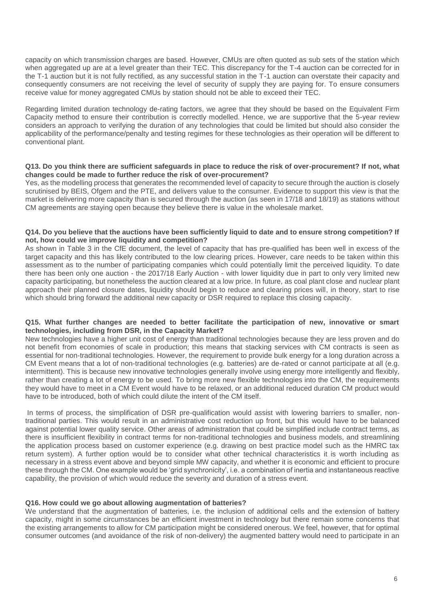capacity on which transmission charges are based. However, CMUs are often quoted as sub sets of the station which when aggregated up are at a level greater than their TEC. This discrepancy for the T-4 auction can be corrected for in the T-1 auction but it is not fully rectified, as any successful station in the T-1 auction can overstate their capacity and consequently consumers are not receiving the level of security of supply they are paying for. To ensure consumers receive value for money aggregated CMUs by station should not be able to exceed their TEC.

Regarding limited duration technology de-rating factors, we agree that they should be based on the Equivalent Firm Capacity method to ensure their contribution is correctly modelled. Hence, we are supportive that the 5-year review considers an approach to verifying the duration of any technologies that could be limited but should also consider the applicability of the performance/penalty and testing regimes for these technologies as their operation will be different to conventional plant.

#### **Q13. Do you think there are sufficient safeguards in place to reduce the risk of over-procurement? If not, what changes could be made to further reduce the risk of over-procurement?**

Yes, as the modelling process that generates the recommended level of capacity to secure through the auction is closely scrutinised by BEIS, Ofgem and the PTE, and delivers value to the consumer. Evidence to support this view is that the market is delivering more capacity than is secured through the auction (as seen in 17/18 and 18/19) as stations without CM agreements are staying open because they believe there is value in the wholesale market.

## **Q14. Do you believe that the auctions have been sufficiently liquid to date and to ensure strong competition? If not, how could we improve liquidity and competition?**

As shown in Table 3 in the CfE document, the level of capacity that has pre-qualified has been well in excess of the target capacity and this has likely contributed to the low clearing prices. However, care needs to be taken within this assessment as to the number of participating companies which could potentially limit the perceived liquidity. To date there has been only one auction - the 2017/18 Early Auction - with lower liquidity due in part to only very limited new capacity participating, but nonetheless the auction cleared at a low price. In future, as coal plant close and nuclear plant approach their planned closure dates, liquidity should begin to reduce and clearing prices will, in theory, start to rise which should bring forward the additional new capacity or DSR required to replace this closing capacity.

## **Q15. What further changes are needed to better facilitate the participation of new, innovative or smart technologies, including from DSR, in the Capacity Market?**

New technologies have a higher unit cost of energy than traditional technologies because they are less proven and do not benefit from economies of scale in production; this means that stacking services with CM contracts is seen as essential for non-traditional technologies. However, the requirement to provide bulk energy for a long duration across a CM Event means that a lot of non-traditional technologies (e.g. batteries) are de-rated or cannot participate at all (e.g. intermittent). This is because new innovative technologies generally involve using energy more intelligently and flexibly, rather than creating a lot of energy to be used. To bring more new flexible technologies into the CM, the requirements they would have to meet in a CM Event would have to be relaxed, or an additional reduced duration CM product would have to be introduced, both of which could dilute the intent of the CM itself.

In terms of process, the simplification of DSR pre-qualification would assist with lowering barriers to smaller, nontraditional parties. This would result in an administrative cost reduction up front, but this would have to be balanced against potential lower quality service. Other areas of administration that could be simplified include contract terms, as there is insufficient flexibility in contract terms for non-traditional technologies and business models, and streamlining the application process based on customer experience (e.g. drawing on best practice model such as the HMRC tax return system). A further option would be to consider what other technical characteristics it is worth including as necessary in a stress event above and beyond simple MW capacity, and whether it is economic and efficient to procure these through the CM. One example would be 'grid synchronicity', i.e. a combination of inertia and instantaneous reactive capability, the provision of which would reduce the severity and duration of a stress event.

## **Q16. How could we go about allowing augmentation of batteries?**

We understand that the augmentation of batteries, i.e. the inclusion of additional cells and the extension of battery capacity, might in some circumstances be an efficient investment in technology but there remain some concerns that the existing arrangements to allow for CM participation might be considered onerous. We feel, however, that for optimal consumer outcomes (and avoidance of the risk of non-delivery) the augmented battery would need to participate in an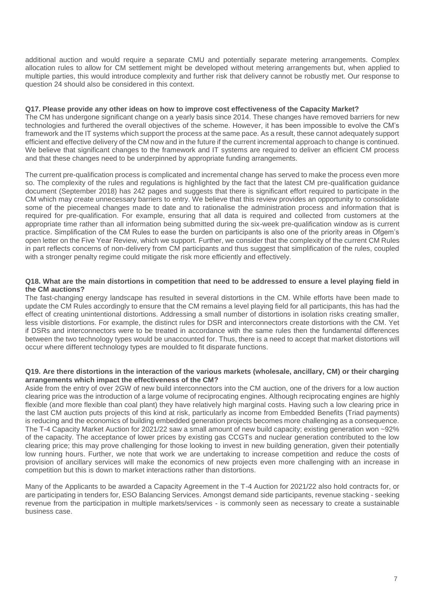additional auction and would require a separate CMU and potentially separate metering arrangements. Complex allocation rules to allow for CM settlement might be developed without metering arrangements but, when applied to multiple parties, this would introduce complexity and further risk that delivery cannot be robustly met. Our response to question 24 should also be considered in this context.

## **Q17. Please provide any other ideas on how to improve cost effectiveness of the Capacity Market?**

The CM has undergone significant change on a yearly basis since 2014. These changes have removed barriers for new technologies and furthered the overall objectives of the scheme. However, it has been impossible to evolve the CM's framework and the IT systems which support the process at the same pace. As a result, these cannot adequately support efficient and effective delivery of the CM now and in the future if the current incremental approach to change is continued. We believe that significant changes to the framework and IT systems are required to deliver an efficient CM process and that these changes need to be underpinned by appropriate funding arrangements.

The current pre-qualification process is complicated and incremental change has served to make the process even more so. The complexity of the rules and regulations is highlighted by the fact that the latest CM pre-qualification guidance document (September 2018) has 242 pages and suggests that there is significant effort required to participate in the CM which may create unnecessary barriers to entry. We believe that this review provides an opportunity to consolidate some of the piecemeal changes made to date and to rationalise the administration process and information that is required for pre-qualification. For example, ensuring that all data is required and collected from customers at the appropriate time rather than all information being submitted during the six-week pre-qualification window as is current practice. Simplification of the CM Rules to ease the burden on participants is also one of the priority areas in Ofgem's open letter on the Five Year Review, which we support. Further, we consider that the complexity of the current CM Rules in part reflects concerns of non-delivery from CM participants and thus suggest that simplification of the rules, coupled with a stronger penalty regime could mitigate the risk more efficiently and effectively.

## **Q18. What are the main distortions in competition that need to be addressed to ensure a level playing field in the CM auctions?**

The fast-changing energy landscape has resulted in several distortions in the CM. While efforts have been made to update the CM Rules accordingly to ensure that the CM remains a level playing field for all participants, this has had the effect of creating unintentional distortions. Addressing a small number of distortions in isolation risks creating smaller, less visible distortions. For example, the distinct rules for DSR and interconnectors create distortions with the CM. Yet if DSRs and interconnectors were to be treated in accordance with the same rules then the fundamental differences between the two technology types would be unaccounted for. Thus, there is a need to accept that market distortions will occur where different technology types are moulded to fit disparate functions.

#### **Q19. Are there distortions in the interaction of the various markets (wholesale, ancillary, CM) or their charging arrangements which impact the effectiveness of the CM?**

Aside from the entry of over 2GW of new build interconnectors into the CM auction, one of the drivers for a low auction clearing price was the introduction of a large volume of reciprocating engines. Although reciprocating engines are highly flexible (and more flexible than coal plant) they have relatively high marginal costs. Having such a low clearing price in the last CM auction puts projects of this kind at risk, particularly as income from Embedded Benefits (Triad payments) is reducing and the economics of building embedded generation projects becomes more challenging as a consequence. The T-4 Capacity Market Auction for 2021/22 saw a small amount of new build capacity; existing generation won ~92% of the capacity. The acceptance of lower prices by existing gas CCGTs and nuclear generation contributed to the low clearing price; this may prove challenging for those looking to invest in new building generation, given their potentially low running hours. Further, we note that work we are undertaking to increase competition and reduce the costs of provision of ancillary services will make the economics of new projects even more challenging with an increase in competition but this is down to market interactions rather than distortions.

Many of the Applicants to be awarded a Capacity Agreement in the T-4 Auction for 2021/22 also hold contracts for, or are participating in tenders for, ESO Balancing Services. Amongst demand side participants, revenue stacking - seeking revenue from the participation in multiple markets/services - is commonly seen as necessary to create a sustainable business case.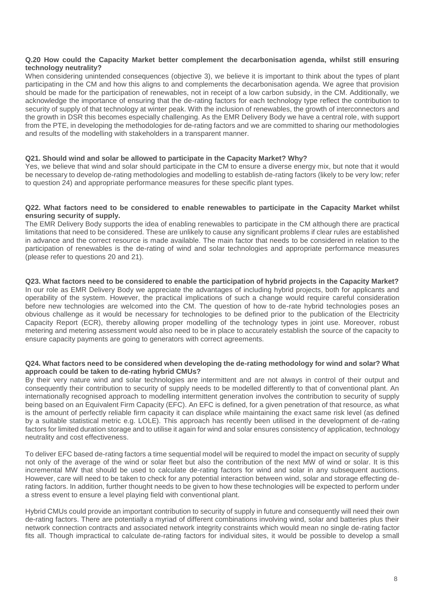## **Q.20 How could the Capacity Market better complement the decarbonisation agenda, whilst still ensuring technology neutrality?**

When considering unintended consequences (objective 3), we believe it is important to think about the types of plant participating in the CM and how this aligns to and complements the decarbonisation agenda. We agree that provision should be made for the participation of renewables, not in receipt of a low carbon subsidy, in the CM. Additionally, we acknowledge the importance of ensuring that the de-rating factors for each technology type reflect the contribution to security of supply of that technology at winter peak. With the inclusion of renewables, the growth of interconnectors and the growth in DSR this becomes especially challenging. As the EMR Delivery Body we have a central role, with support from the PTE, in developing the methodologies for de-rating factors and we are committed to sharing our methodologies and results of the modelling with stakeholders in a transparent manner.

## **Q21. Should wind and solar be allowed to participate in the Capacity Market? Why?**

ensure capacity payments are going to generators with correct agreements.

Yes, we believe that wind and solar should participate in the CM to ensure a diverse energy mix, but note that it would be necessary to develop de-rating methodologies and modelling to establish de-rating factors (likely to be very low; refer to question 24) and appropriate performance measures for these specific plant types.

## **Q22. What factors need to be considered to enable renewables to participate in the Capacity Market whilst ensuring security of supply.**

The EMR Delivery Body supports the idea of enabling renewables to participate in the CM although there are practical limitations that need to be considered. These are unlikely to cause any significant problems if clear rules are established in advance and the correct resource is made available. The main factor that needs to be considered in relation to the participation of renewables is the de-rating of wind and solar technologies and appropriate performance measures (please refer to questions 20 and 21).

#### **Q23. What factors need to be considered to enable the participation of hybrid projects in the Capacity Market?** In our role as EMR Delivery Body we appreciate the advantages of including hybrid projects, both for applicants and operability of the system. However, the practical implications of such a change would require careful consideration before new technologies are welcomed into the CM. The question of how to de-rate hybrid technologies poses an obvious challenge as it would be necessary for technologies to be defined prior to the publication of the Electricity Capacity Report (ECR), thereby allowing proper modelling of the technology types in joint use. Moreover, robust metering and metering assessment would also need to be in place to accurately establish the source of the capacity to

## **Q24. What factors need to be considered when developing the de-rating methodology for wind and solar? What approach could be taken to de-rating hybrid CMUs?**

By their very nature wind and solar technologies are intermittent and are not always in control of their output and consequently their contribution to security of supply needs to be modelled differently to that of conventional plant. An internationally recognised approach to modelling intermittent generation involves the contribution to security of supply being based on an Equivalent Firm Capacity (EFC). An EFC is defined, for a given penetration of that resource, as what is the amount of perfectly reliable firm capacity it can displace while maintaining the exact same risk level (as defined by a suitable statistical metric e.g. LOLE). This approach has recently been utilised in the development of de-rating factors for limited duration storage and to utilise it again for wind and solar ensures consistency of application, technology neutrality and cost effectiveness.

To deliver EFC based de-rating factors a time sequential model will be required to model the impact on security of supply not only of the average of the wind or solar fleet but also the contribution of the next MW of wind or solar. It is this incremental MW that should be used to calculate de-rating factors for wind and solar in any subsequent auctions. However, care will need to be taken to check for any potential interaction between wind, solar and storage effecting derating factors. In addition, further thought needs to be given to how these technologies will be expected to perform under a stress event to ensure a level playing field with conventional plant.

Hybrid CMUs could provide an important contribution to security of supply in future and consequently will need their own de-rating factors. There are potentially a myriad of different combinations involving wind, solar and batteries plus their network connection contracts and associated network integrity constraints which would mean no single de-rating factor fits all. Though impractical to calculate de-rating factors for individual sites, it would be possible to develop a small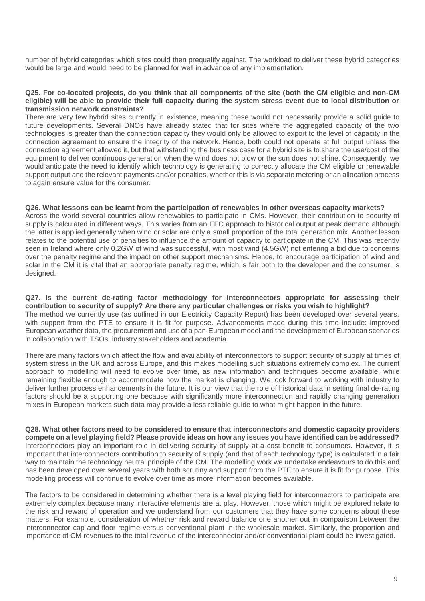number of hybrid categories which sites could then prequalify against. The workload to deliver these hybrid categories would be large and would need to be planned for well in advance of any implementation.

#### **Q25. For co-located projects, do you think that all components of the site (both the CM eligible and non-CM eligible) will be able to provide their full capacity during the system stress event due to local distribution or transmission network constraints?**

There are very few hybrid sites currently in existence, meaning these would not necessarily provide a solid guide to future developments. Several DNOs have already stated that for sites where the aggregated capacity of the two technologies is greater than the connection capacity they would only be allowed to export to the level of capacity in the connection agreement to ensure the integrity of the network. Hence, both could not operate at full output unless the connection agreement allowed it, but that withstanding the business case for a hybrid site is to share the use/cost of the equipment to deliver continuous generation when the wind does not blow or the sun does not shine. Consequently, we would anticipate the need to identify which technology is generating to correctly allocate the CM eligible or renewable support output and the relevant payments and/or penalties, whether this is via separate metering or an allocation process to again ensure value for the consumer.

## **Q26. What lessons can be learnt from the participation of renewables in other overseas capacity markets?**

Across the world several countries allow renewables to participate in CMs. However, their contribution to security of supply is calculated in different ways. This varies from an EFC approach to historical output at peak demand although the latter is applied generally when wind or solar are only a small proportion of the total generation mix. Another lesson relates to the potential use of penalties to influence the amount of capacity to participate in the CM. This was recently seen in Ireland where only 0.2GW of wind was successful, with most wind (4.5GW) not entering a bid due to concerns over the penalty regime and the impact on other support mechanisms. Hence, to encourage participation of wind and solar in the CM it is vital that an appropriate penalty regime, which is fair both to the developer and the consumer, is designed.

**Q27. Is the current de-rating factor methodology for interconnectors appropriate for assessing their contribution to security of supply? Are there any particular challenges or risks you wish to highlight?** The method we currently use (as outlined in our Electricity Capacity Report) has been developed over several years, with support from the PTE to ensure it is fit for purpose. Advancements made during this time include: improved European weather data, the procurement and use of a pan-European model and the development of European scenarios in collaboration with TSOs, industry stakeholders and academia.

There are many factors which affect the flow and availability of interconnectors to support security of supply at times of system stress in the UK and across Europe, and this makes modelling such situations extremely complex. The current approach to modelling will need to evolve over time, as new information and techniques become available, while remaining flexible enough to accommodate how the market is changing. We look forward to working with industry to deliver further process enhancements in the future. It is our view that the role of historical data in setting final de-rating factors should be a supporting one because with significantly more interconnection and rapidly changing generation mixes in European markets such data may provide a less reliable guide to what might happen in the future.

**Q28. What other factors need to be considered to ensure that interconnectors and domestic capacity providers compete on a level playing field? Please provide ideas on how any issues you have identified can be addressed?** Interconnectors play an important role in delivering security of supply at a cost benefit to consumers. However, it is important that interconnectors contribution to security of supply (and that of each technology type) is calculated in a fair way to maintain the technology neutral principle of the CM. The modelling work we undertake endeavours to do this and has been developed over several years with both scrutiny and support from the PTE to ensure it is fit for purpose. This modelling process will continue to evolve over time as more information becomes available.

The factors to be considered in determining whether there is a level playing field for interconnectors to participate are extremely complex because many interactive elements are at play. However, those which might be explored relate to the risk and reward of operation and we understand from our customers that they have some concerns about these matters. For example, consideration of whether risk and reward balance one another out in comparison between the interconnector cap and floor regime versus conventional plant in the wholesale market. Similarly, the proportion and importance of CM revenues to the total revenue of the interconnector and/or conventional plant could be investigated.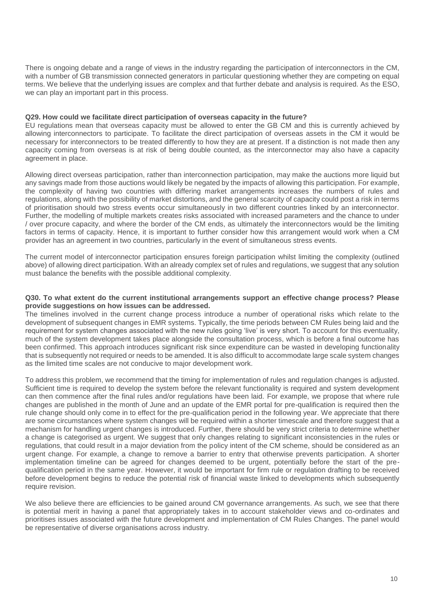There is ongoing debate and a range of views in the industry regarding the participation of interconnectors in the CM, with a number of GB transmission connected generators in particular questioning whether they are competing on equal terms. We believe that the underlying issues are complex and that further debate and analysis is required. As the ESO, we can play an important part in this process.

#### **Q29. How could we facilitate direct participation of overseas capacity in the future?**

EU regulations mean that overseas capacity must be allowed to enter the GB CM and this is currently achieved by allowing interconnectors to participate. To facilitate the direct participation of overseas assets in the CM it would be necessary for interconnectors to be treated differently to how they are at present. If a distinction is not made then any capacity coming from overseas is at risk of being double counted, as the interconnector may also have a capacity agreement in place.

Allowing direct overseas participation, rather than interconnection participation, may make the auctions more liquid but any savings made from those auctions would likely be negated by the impacts of allowing this participation. For example, the complexity of having two countries with differing market arrangements increases the numbers of rules and regulations, along with the possibility of market distortions, and the general scarcity of capacity could post a risk in terms of prioritisation should two stress events occur simultaneously in two different countries linked by an interconnector. Further, the modelling of multiple markets creates risks associated with increased parameters and the chance to under / over procure capacity, and where the border of the CM ends, as ultimately the interconnectors would be the limiting factors in terms of capacity. Hence, it is important to further consider how this arrangement would work when a CM provider has an agreement in two countries, particularly in the event of simultaneous stress events.

The current model of interconnector participation ensures foreign participation whilst limiting the complexity (outlined above) of allowing direct participation. With an already complex set of rules and regulations, we suggest that any solution must balance the benefits with the possible additional complexity.

#### **Q30. To what extent do the current institutional arrangements support an effective change process? Please provide suggestions on how issues can be addressed.**

The timelines involved in the current change process introduce a number of operational risks which relate to the development of subsequent changes in EMR systems. Typically, the time periods between CM Rules being laid and the requirement for system changes associated with the new rules going 'live' is very short. To account for this eventuality, much of the system development takes place alongside the consultation process, which is before a final outcome has been confirmed. This approach introduces significant risk since expenditure can be wasted in developing functionality that is subsequently not required or needs to be amended. It is also difficult to accommodate large scale system changes as the limited time scales are not conducive to major development work.

To address this problem, we recommend that the timing for implementation of rules and regulation changes is adjusted. Sufficient time is required to develop the system before the relevant functionality is required and system development can then commence after the final rules and/or regulations have been laid. For example, we propose that where rule changes are published in the month of June and an update of the EMR portal for pre-qualification is required then the rule change should only come in to effect for the pre-qualification period in the following year. We appreciate that there are some circumstances where system changes will be required within a shorter timescale and therefore suggest that a mechanism for handling urgent changes is introduced. Further, there should be very strict criteria to determine whether a change is categorised as urgent. We suggest that only changes relating to significant inconsistencies in the rules or regulations, that could result in a major deviation from the policy intent of the CM scheme, should be considered as an urgent change. For example, a change to remove a barrier to entry that otherwise prevents participation. A shorter implementation timeline can be agreed for changes deemed to be urgent, potentially before the start of the prequalification period in the same year. However, it would be important for firm rule or regulation drafting to be received before development begins to reduce the potential risk of financial waste linked to developments which subsequently require revision.

We also believe there are efficiencies to be gained around CM governance arrangements. As such, we see that there is potential merit in having a panel that appropriately takes in to account stakeholder views and co-ordinates and prioritises issues associated with the future development and implementation of CM Rules Changes. The panel would be representative of diverse organisations across industry.